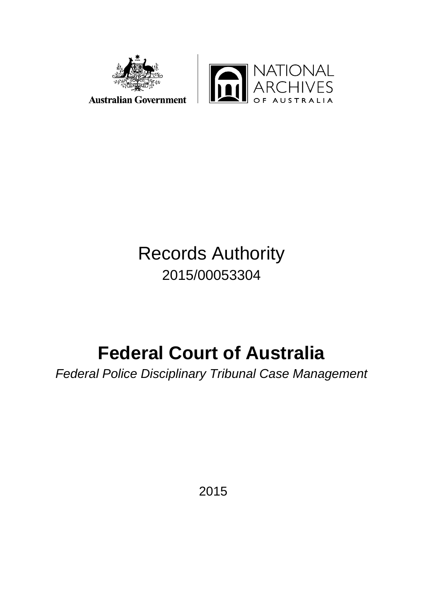



# Records Authority 2015/00053304

# **Federal Court of Australia**

*Federal Police Disciplinary Tribunal Case Management*

2015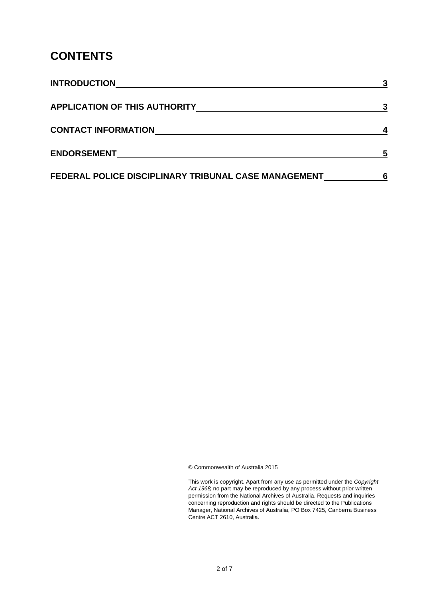# **CONTENTS**

| <b>INTRODUCTION</b>                                  |   |
|------------------------------------------------------|---|
| <b>APPLICATION OF THIS AUTHORITY</b>                 |   |
| <b>CONTACT INFORMATION</b>                           |   |
| <b>ENDORSEMENT</b>                                   | 5 |
| FEDERAL POLICE DISCIPLINARY TRIBUNAL CASE MANAGEMENT |   |

© Commonwealth of Australia 2015

This work is copyright. Apart from any use as permitted under the *Copyright Act 1968,* no part may be reproduced by any process without prior written permission from the National Archives of Australia. Requests and inquiries concerning reproduction and rights should be directed to the Publications Manager, National Archives of Australia, PO Box 7425, Canberra Business Centre ACT 2610, Australia.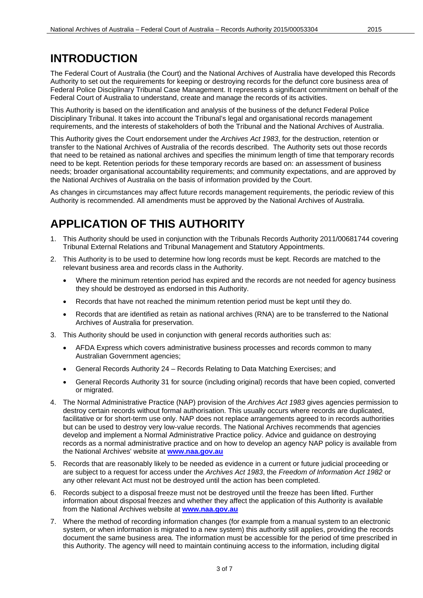# **INTRODUCTION**

The Federal Court of Australia (the Court) and the National Archives of Australia have developed this Records Authority to set out the requirements for keeping or destroying records for the defunct core business area of Federal Police Disciplinary Tribunal Case Management. It represents a significant commitment on behalf of the Federal Court of Australia to understand, create and manage the records of its activities.

This Authority is based on the identification and analysis of the business of the defunct Federal Police Disciplinary Tribunal. It takes into account the Tribunal's legal and organisational records management requirements, and the interests of stakeholders of both the Tribunal and the National Archives of Australia.

This Authority gives the Court endorsement under the *Archives Act 1983*, for the destruction, retention or transfer to the National Archives of Australia of the records described. The Authority sets out those records that need to be retained as national archives and specifies the minimum length of time that temporary records need to be kept. Retention periods for these temporary records are based on: an assessment of business needs; broader organisational accountability requirements; and community expectations, and are approved by the National Archives of Australia on the basis of information provided by the Court.

As changes in circumstances may affect future records management requirements, the periodic review of this Authority is recommended. All amendments must be approved by the National Archives of Australia.

# **APPLICATION OF THIS AUTHORITY**

- 1. This Authority should be used in conjunction with the Tribunals Records Authority 2011/00681744 covering Tribunal External Relations and Tribunal Management and Statutory Appointments.
- 2. This Authority is to be used to determine how long records must be kept. Records are matched to the relevant business area and records class in the Authority.
	- Where the minimum retention period has expired and the records are not needed for agency business they should be destroyed as endorsed in this Authority.
	- Records that have not reached the minimum retention period must be kept until they do.
	- Records that are identified as retain as national archives (RNA) are to be transferred to the National Archives of Australia for preservation.
- 3. This Authority should be used in conjunction with general records authorities such as:
	- AFDA Express which covers administrative business processes and records common to many Australian Government agencies;
	- General Records Authority 24 Records Relating to Data Matching Exercises; and
	- General Records Authority 31 for source (including original) records that have been copied, converted or migrated.
- 4. The Normal Administrative Practice (NAP) provision of the *Archives Act 1983* gives agencies permission to destroy certain records without formal authorisation. This usually occurs where records are duplicated, facilitative or for short-term use only. NAP does not replace arrangements agreed to in records authorities but can be used to destroy very low-value records. The National Archives recommends that agencies develop and implement a Normal Administrative Practice policy. Advice and guidance on destroying records as a normal administrative practice and on how to develop an agency NAP policy is available from the National Archives' website at **[www.naa.gov.au](http://www.naa.gov.au/)**
- 5. Records that are reasonably likely to be needed as evidence in a current or future judicial proceeding or are subject to a request for access under the *Archives Act 1983*, the *Freedom of Information Act 1982* or any other relevant Act must not be destroyed until the action has been completed.
- 6. Records subject to a disposal freeze must not be destroyed until the freeze has been lifted. Further information about disposal freezes and whether they affect the application of this Authority is available from the National Archives website at **[www.naa.gov.au](http://www.naa.gov.au/)**
- 7. Where the method of recording information changes (for example from a manual system to an electronic system, or when information is migrated to a new system) this authority still applies, providing the records document the same business area. The information must be accessible for the period of time prescribed in this Authority. The agency will need to maintain continuing access to the information, including digital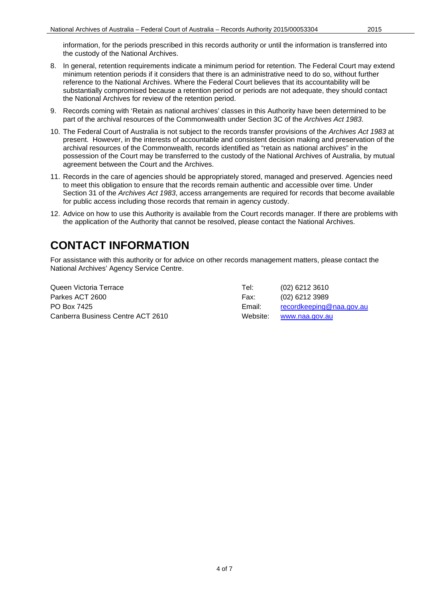- 8. In general, retention requirements indicate a minimum period for retention. The Federal Court may extend minimum retention periods if it considers that there is an administrative need to do so, without further reference to the National Archives. Where the Federal Court believes that its accountability will be substantially compromised because a retention period or periods are not adequate, they should contact the National Archives for review of the retention period.
- 9. Records coming with 'Retain as national archives' classes in this Authority have been determined to be part of the archival resources of the Commonwealth under Section 3C of the *Archives Act 1983*.
- 10. The Federal Court of Australia is not subject to the records transfer provisions of the *Archives Act 1983* at present. However, in the interests of accountable and consistent decision making and preservation of the archival resources of the Commonwealth, records identified as "retain as national archives" in the possession of the Court may be transferred to the custody of the National Archives of Australia, by mutual agreement between the Court and the Archives.
- 11. Records in the care of agencies should be appropriately stored, managed and preserved. Agencies need to meet this obligation to ensure that the records remain authentic and accessible over time. Under Section 31 of the *Archives Act 1983*, access arrangements are required for records that become available for public access including those records that remain in agency custody.
- 12. Advice on how to use this Authority is available from the Court records manager. If there are problems with the application of the Authority that cannot be resolved, please contact the National Archives.

# **CONTACT INFORMATION**

For assistance with this authority or for advice on other records management matters, please contact the National Archives' Agency Service Centre.

Queen Victoria Terrace Tel: (02) 6212 3610 Parkes ACT 2600 Farkes ACT 2600 Fax: (02) 6212 3989 PO Box 7425 **PO Box 7425** Email: [recordkeeping@naa.gov.au](mailto:recordkeeping@naa.gov.au) Canberra Business Centre ACT 2610 Website: [www.naa.gov.au](http://www.naa.gov.au/)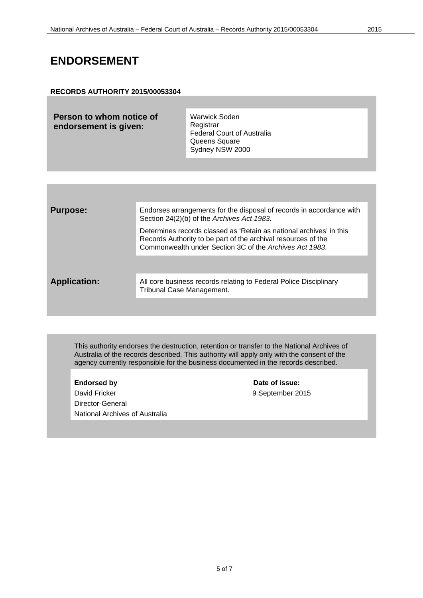## **ENDORSEMENT**

### **RECORDS AUTHORITY 2015/00053304**

| Person to whom notice of | <b>Warwick Soden</b>              |
|--------------------------|-----------------------------------|
| endorsement is given:    | Registrar                         |
|                          | <b>Federal Court of Australia</b> |
|                          | Queens Square                     |
|                          | Sydney NSW 2000                   |

| <b>Purpose:</b>     | Endorses arrangements for the disposal of records in accordance with<br>Section 24(2)(b) of the Archives Act 1983.                                                                              |
|---------------------|-------------------------------------------------------------------------------------------------------------------------------------------------------------------------------------------------|
|                     | Determines records classed as 'Retain as national archives' in this<br>Records Authority to be part of the archival resources of the<br>Commonwealth under Section 3C of the Archives Act 1983. |
|                     |                                                                                                                                                                                                 |
| <b>Application:</b> | All core business records relating to Federal Police Disciplinary<br>Tribunal Case Management.                                                                                                  |
|                     |                                                                                                                                                                                                 |

This authority endorses the destruction, retention or transfer to the National Archives of Australia of the records described. This authority will apply only with the consent of the agency currently responsible for the business documented in the records described.

**Endorsed by Date of issue:** David Fricker **David Fricker** 19 September 2015 Director-General National Archives of Australia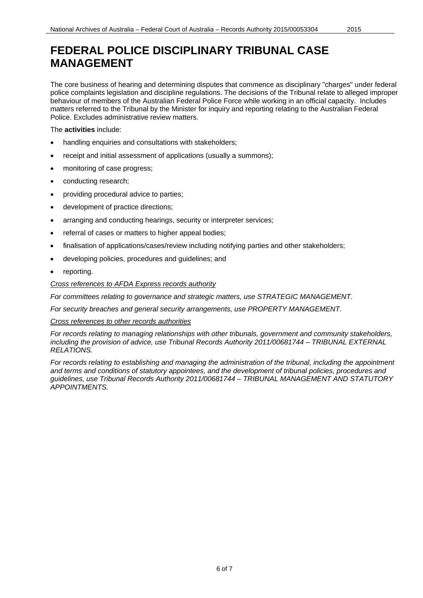# **FEDERAL POLICE DISCIPLINARY TRIBUNAL CASE MANAGEMENT**

The core business of hearing and determining disputes that commence as disciplinary "charges" under federal police complaints legislation and discipline regulations. The decisions of the Tribunal relate to alleged improper behaviour of members of the Australian Federal Police Force while working in an official capacity. Includes matters referred to the Tribunal by the Minister for inquiry and reporting relating to the Australian Federal Police. Excludes administrative review matters.

The **activities** include:

- handling enquiries and consultations with stakeholders;
- receipt and initial assessment of applications (usually a summons);
- monitoring of case progress;
- conducting research;
- providing procedural advice to parties;
- development of practice directions;
- arranging and conducting hearings, security or interpreter services;
- referral of cases or matters to higher appeal bodies;
- finalisation of applications/cases/review including notifying parties and other stakeholders;
- developing policies, procedures and guidelines; and
- reporting.

### *Cross references to AFDA Express records authority*

*For committees relating to governance and strategic matters, use STRATEGIC MANAGEMENT.*

*For security breaches and general security arrangements, use PROPERTY MANAGEMENT.*

#### *Cross references to other records authorities*

*For records relating to managing relationships with other tribunals, government and community stakeholders, including the provision of advice, use Tribunal Records Authority 2011/00681744 – TRIBUNAL EXTERNAL RELATIONS.*

*For records relating to establishing and managing the administration of the tribunal, including the appointment and terms and conditions of statutory appointees, and the development of tribunal policies, procedures and guidelines, use Tribunal Records Authority 2011/00681744 – TRIBUNAL MANAGEMENT AND STATUTORY APPOINTMENTS.*